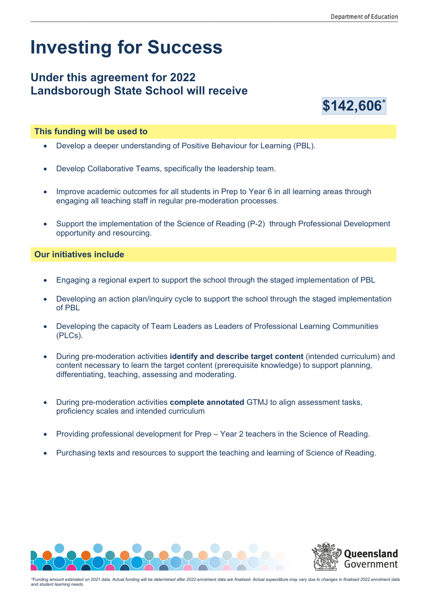# **Investing for Success**

## **Under this agreement for 2022 Landsborough State School will receive**



#### **This funding will be used to**

- Develop a deeper understanding of Positive Behaviour for Learning (PBL).
- Develop Collaborative Teams, specifically the leadership team.
- Improve academic outcomes for all students in Prep to Year 6 in all learning areas through engaging all teaching staff in regular pre-moderation processes.
- Support the implementation of the Science of Reading (P-2) through Professional Development opportunity and resourcing.

#### **Our initiatives include**

- Engaging a regional expert to support the school through the staged implementation of PBL
- Developing an action plan/inquiry cycle to support the school through the staged implementation of PBL
- Developing the capacity of Team Leaders as Leaders of Professional Learning Communities (PLCs).
- During pre-moderation activities **identify and describe target content** (intended curriculum) and content necessary to learn the target content (prerequisite knowledge) to support planning, differentiating, teaching, assessing and moderating.
- During pre-moderation activities **complete annotated** GTMJ to align assessment tasks, proficiency scales and intended curriculum
- Providing professional development for Prep Year 2 teachers in the Science of Reading.
- Purchasing texts and resources to support the teaching and learning of Science of Reading.